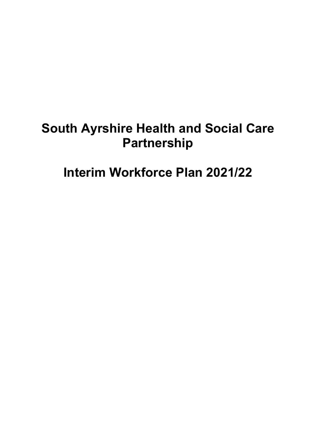# **South Ayrshire Health and Social Care Partnership**

**Interim Workforce Plan 2021/22**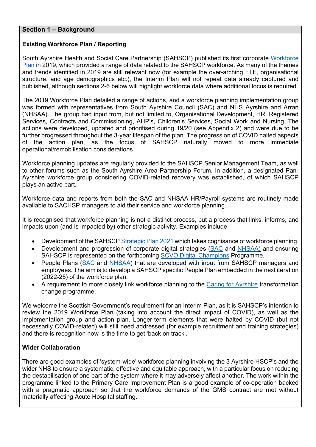### **Section 1 – Background**

### **Existing Workforce Plan / Reporting**

South Ayrshire Health and Social Care Partnership (SAHSCP) published its first corporate [Workforce](https://www.south-ayrshire.gov.uk/health-social-care-partnership/documents/sahscp%20workforce%20plan%202019-2022.pdf)  [Plan](https://www.south-ayrshire.gov.uk/health-social-care-partnership/documents/sahscp%20workforce%20plan%202019-2022.pdf) in 2019, which provided a range of data related to the SAHSCP workforce. As many of the themes and trends identified in 2019 are still relevant now (for example the over-arching FTE, organisational structure, and age demographics etc.), the Interim Plan will not repeat data already captured and published, although sections 2-6 below will highlight workforce data where additional focus is required.

The 2019 Workforce Plan detailed a range of actions, and a workforce planning implementation group was formed with representatives from South Ayrshire Council (SAC) and NHS Ayrshire and Arran (NHSAA). The group had input from, but not limited to, Organisational Development, HR, Registered Services, Contracts and Commissioning, AHP's, Children's Services, Social Work and Nursing. The actions were developed, updated and prioritised during 19/20 (see Appendix 2) and were due to be further progressed throughout the 3-year lifespan of the plan. The progression of COVID halted aspects of the action plan, as the focus of SAHSCP naturally moved to more immediate operational/remobilisation considerations.

Workforce planning updates are regularly provided to the SAHSCP Senior Management Team, as well to other forums such as the South Ayrshire Area Partnership Forum. In addition, a designated Pan-Ayrshire workforce group considering COVID-related recovery was established, of which SAHSCP plays an active part.

Workforce data and reports from both the SAC and NHSAA HR/Payroll systems are routinely made available to SACHSP managers to aid their service and workforce planning.

It is recognised that workforce planning is not a distinct process, but a process that links, informs, and impacts upon (and is impacted by) other strategic activity. Examples include –

- Development of the SAHSCP [Strategic Plan 2](https://www.south-ayrshire.gov.uk/health-social-care-partnership/documents/item%208%20strategic%20plan%20final%20app1%20ijb%202021%2003%2024.pdf)021 which takes cognisance of workforce planning.
- Development and progression of corporate digital strategies [\(SAC](https://www.south-ayrshire.gov.uk/health-social-care-partnership/documents/item%206%20digital%20strategy%20ijb%202020%2010%2021%20app%201.pdf) and [NHSAA\)](https://digital.nhs.uk/about-nhs-digital/our-organisation/our-organisation-structure/strategy-policy-and-governance/strategy-and-planning) and ensuring SAHSCP is represented on the forthcoming [SCVO Digital Champions](https://indd.adobe.com/view/cb63f81b-2e6b-4268-8d59-3f6ac695f7cb) Programme.
- People Plans [\(SAC](https://ww20.south-ayrshire.gov.uk/ext/committee/CommitteePapers2020/Leadership%20Panel/24%20November%202020/Item%2010f%20REP%2020201124%20LP%20People%20Strategy-App1.pdf) and [NHSAA\)](https://www.nhsaaa.net/media/8176/people-strategy-people-matter.pdf) that are developed with input from SAHSCP managers and employees. The aim is to develop a SAHSCP specific People Plan embedded in the next iteration (2022-25) of the workforce plan.
- A requirement to more closely link workforce planning to the [Caring for Ayrshire](https://www.nhsaaa.net/caring-for-ayrshire) transformation change programme.

We welcome the Scottish Government's requirement for an Interim Plan, as it is SAHSCP's intention to review the 2019 Workforce Plan (taking into account the direct impact of COVID), as well as the implementation group and action plan. Longer-term elements that were halted by COVID (but not necessarily COVID-related) will still need addressed (for example recruitment and training strategies) and there is recognition now is the time to get 'back on track'.

#### **Wider Collaboration**

There are good examples of 'system-wide' workforce planning involving the 3 Ayrshire HSCP's and the wider NHS to ensure a systematic, effective and equitable approach, with a particular focus on reducing the destabilisation of one part of the system where it may adversely affect another. The work within the programme linked to the Primary Care Improvement Plan is a good example of co-operation backed with a pragmatic approach so that the workforce demands of the GMS contract are met without materially affecting Acute Hospital staffing.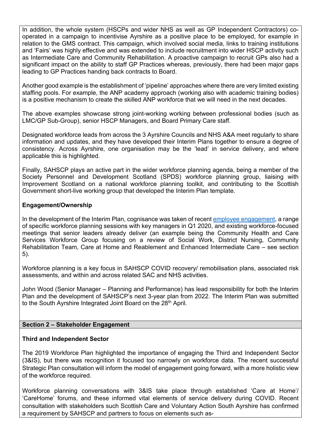In addition, the whole system (HSCPs and wider NHS as well as GP Independent Contractors) cooperated in a campaign to incentivise Ayrshire as a positive place to be employed, for example in relation to the GMS contract. This campaign, which involved social media, links to training institutions and 'Fairs' was highly effective and was extended to include recruitment into wider HSCP activity such as Intermediate Care and Community Rehabilitation. A proactive campaign to recruit GPs also had a significant impact on the ability to staff GP Practices whereas, previously, there had been major gaps leading to GP Practices handing back contracts to Board.

Another good example is the establishment of 'pipeline' approaches where there are very limited existing staffing pools. For example, the ANP academy approach (working also with academic training bodies) is a positive mechanism to create the skilled ANP workforce that we will need in the next decades.

The above examples showcase strong joint-working working between professional bodies (such as LMC/GP Sub-Group), senior HSCP Managers, and Board Primary Care staff.

Designated workforce leads from across the 3 Ayrshire Councils and NHS A&A meet regularly to share information and updates, and they have developed their Interim Plans together to ensure a degree of consistency. Across Ayrshire, one organisation may be the 'lead' in service delivery, and where applicable this is highlighted.

Finally, SAHSCP plays an active part in the wider workforce planning agenda, being a member of the Society Personnel and Development Scotland (SPDS) workforce planning group, liaising with Improvement Scotland on a national workforce planning toolkit, and contributing to the Scottish Government short-live working group that developed the Interim Plan template.

### **Engagement/Ownership**

In the development of the Interim Plan, cognisance was taken of recent [employee engagement,](https://sway.office.com/7t6RgbK1KnSIuHVX?ref=Link&loc=play) a range of specific workforce planning sessions with key managers in Q1 2020, and existing workforce-focused meetings that senior leaders already deliver (an example being the Community Health and Care Services Workforce Group focusing on a review of Social Work, District Nursing, Community Rehabilitation Team, Care at Home and Reablement and Enhanced Intermediate Care – see section 5).

Workforce planning is a key focus in SAHSCP COVID recovery/ remobilisation plans, associated risk assessments, and within and across related SAC and NHS activities.

John Wood (Senior Manager – Planning and Performance) has lead responsibility for both the Interim Plan and the development of SAHSCP's next 3-year plan from 2022. The Interim Plan was submitted to the South Ayrshire Integrated Joint Board on the 28<sup>th</sup> April.

#### **Section 2 – Stakeholder Engagement**

### **Third and Independent Sector**

The 2019 Workforce Plan highlighted the importance of engaging the Third and Independent Sector (3&IS), but there was recognition it focused too narrowly on workforce data. The recent successful Strategic Plan consultation will inform the model of engagement going forward, with a more holistic view of the workforce required.

Workforce planning conversations with 3&IS take place through established 'Care at Home'/ 'CareHome' forums, and these informed vital elements of service delivery during COVID. Recent consultation with stakeholders such Scottish Care and Voluntary Action South Ayrshire has confirmed a requirement by SAHSCP and partners to focus on elements such as-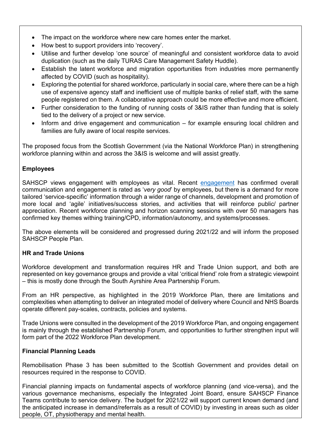- The impact on the workforce where new care homes enter the market.
- How best to support providers into 'recovery'.
- Utilise and further develop 'one source' of meaningful and consistent workforce data to avoid duplication (such as the daily TURAS Care Management Safety Huddle).
- Establish the latent workforce and migration opportunities from industries more permanently affected by COVID (such as hospitality).
- Exploring the potential for shared workforce, particularly in social care, where there can be a high use of expensive agency staff and inefficient use of multiple banks of relief staff, with the same people registered on them. A collaborative approach could be more effective and more efficient.
- Further consideration to the funding of running costs of 3&IS rather than funding that is solely tied to the delivery of a project or new service.
- Inform and drive engagement and communication for example ensuring local children and families are fully aware of local respite services.

The proposed focus from the Scottish Government (via the National Workforce Plan) in strengthening workforce planning within and across the 3&IS is welcome and will assist greatly.

## **Employees**

SAHSCP views engagement with employees as vital. Recent [engagement](https://sway.office.com/7t6RgbK1KnSIuHVX?ref=Link&loc=play) has confirmed overall communication and engagement is rated as '*very good*' by employees, but there is a demand for more tailored 'service-specific' information through a wider range of channels, development and promotion of more local and 'agile' initiatives/success stories, and activities that will reinforce public/ partner appreciation. Recent workforce planning and horizon scanning sessions with over 50 managers has confirmed key themes withing training/CPD, information/autonomy, and systems/processes.

The above elements will be considered and progressed during 2021/22 and will inform the proposed SAHSCP People Plan.

### **HR and Trade Unions**

Workforce development and transformation requires HR and Trade Union support, and both are represented on key governance groups and provide a vital 'critical friend' role from a strategic viewpoint – this is mostly done through the South Ayrshire Area Partnership Forum.

From an HR perspective, as highlighted in the 2019 Workforce Plan, there are limitations and complexities when attempting to deliver an integrated model of delivery where Council and NHS Boards operate different pay-scales, contracts, policies and systems.

Trade Unions were consulted in the development of the 2019 Workforce Plan, and ongoing engagement is mainly through the established Partnership Forum, and opportunities to further strengthen input will form part of the 2022 Workforce Plan development.

### **Financial Planning Leads**

Remobilisation Phase 3 has been submitted to the Scottish Government and provides detail on resources required in the response to COVID.

Financial planning impacts on fundamental aspects of workforce planning (and vice-versa), and the various governance mechanisms, especially the Integrated Joint Board, ensure SAHSCP Finance Teams contribute to service delivery. The budget for 2021/22 will support current known demand (and the anticipated increase in demand/referrals as a result of COVID) by investing in areas such as older people, OT, physiotherapy and mental health.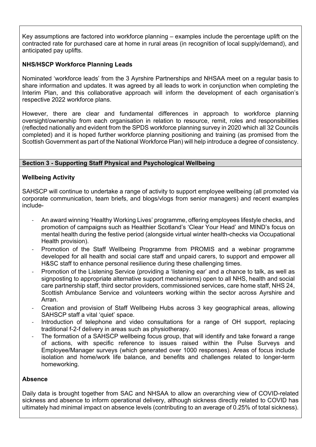Key assumptions are factored into workforce planning – examples include the percentage uplift on the contracted rate for purchased care at home in rural areas (in recognition of local supply/demand), and anticipated pay uplifts.

## **NHS/HSCP Workforce Planning Leads**

Nominated 'workforce leads' from the 3 Ayrshire Partnerships and NHSAA meet on a regular basis to share information and updates. It was agreed by all leads to work in conjunction when completing the Interim Plan, and this collaborative approach will inform the development of each organisation's respective 2022 workforce plans.

However, there are clear and fundamental differences in approach to workforce planning oversight/ownership from each organisation in relation to resource, remit, roles and responsibilities (reflected nationally and evident from the SPDS workforce planning survey in 2020 which all 32 Councils completed) and it is hoped further workforce planning positioning and training (as promised from the Scottish Government as part of the National Workforce Plan) will help introduce a degree of consistency.

## **Section 3 - Supporting Staff Physical and Psychological Wellbeing**

## **Wellbeing Activity**

SAHSCP will continue to undertake a range of activity to support employee wellbeing (all promoted via corporate communication, team briefs, and blogs/vlogs from senior managers) and recent examples include-

- An award winning 'Healthy Working Lives' programme, offering employees lifestyle checks, and promotion of campaigns such as Healthier Scotland's 'Clear Your Head' and MIND's focus on mental health during the festive period (alongside virtual winter health-checks via Occupational Health provision).
- Promotion of the Staff Wellbeing Programme from PROMIS and a webinar programme developed for all health and social care staff and unpaid carers, to support and empower all H&SC staff to enhance personal resilience during these challenging times.
- Promotion of the Listening Service (providing a 'listening ear' and a chance to talk, as well as signposting to appropriate alternative support mechanisms) open to all NHS, health and social care partnership staff, third sector providers, commissioned services, care home staff, NHS 24, Scottish Ambulance Service and volunteers working within the sector across Ayrshire and Arran.
- Creation and provision of Staff Wellbeing Hubs across 3 key geographical areas, allowing SAHSCP staff a vital 'quiet' space.
- Introduction of telephone and video consultations for a range of OH support, replacing traditional f-2-f delivery in areas such as physiotherapy.
- The formation of a SAHSCP wellbeing focus group, that will identify and take forward a range of actions, with specific reference to issues raised within the Pulse Surveys and Employee/Manager surveys (which generated over 1000 responses). Areas of focus include isolation and home/work life balance, and benefits and challenges related to longer-term homeworking.

### **Absence**

Daily data is brought together from SAC and NHSAA to allow an overarching view of COVID-related sickness and absence to inform operational delivery, although sickness directly related to COVID has ultimately had minimal impact on absence levels (contributing to an average of 0.25% of total sickness).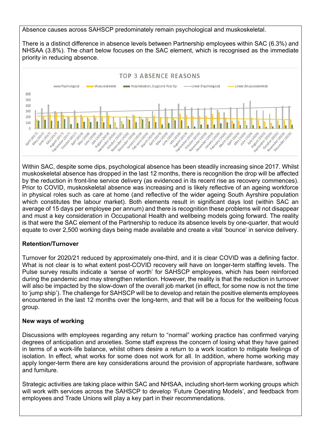Absence causes across SAHSCP predominately remain psychological and muskoskeletal.

There is a distinct difference in absence levels between Partnership employees within SAC (6.3%) and NHSAA (3.8%). The chart below focuses on the SAC element, which is recognised as the immediate priority in reducing absence.



Within SAC, despite some dips, psychological absence has been steadily increasing since 2017. Whilst muskoskeletal absence has dropped in the last 12 months, there is recognition the drop will be affected by the reduction in front-line service delivery (as evidenced in its recent rise as recovery commences). Prior to COVID, muskoskeletal absence was increasing and is likely reflective of an ageing workforce in physical roles such as care at home (and reflective of the wider ageing South Ayrshire population which constitutes the labour market). Both elements result in significant days lost (within SAC an average of 15 days per employee per annum) and there is recognition these problems will not disappear and must a key consideration in Occupational Health and wellbeing models going forward. The reality is that were the SAC element of the Partnership to reduce its absence levels by one-quarter, that would equate to over 2,500 working days being made available and create a vital 'bounce' in service delivery.

## **Retention/Turnover**

Turnover for 2020/21 reduced by approximately one-third, and it is clear COVID was a defining factor. What is not clear is to what extent post-COVID recovery will have on longer-term staffing levels. The Pulse survey results indicate a 'sense of worth' for SAHSCP employees, which has been reinforced during the pandemic and may strengthen retention. However, the reality is that the reduction in turnover will also be impacted by the slow-down of the overall job market (in effect, for some now is not the time to 'jump ship'). The challenge for SAHSCP will be to develop and retain the positive elements employees encountered in the last 12 months over the long-term, and that will be a focus for the wellbeing focus group.

### **New ways of working**

Discussions with employees regarding any return to "normal" working practice has confirmed varying degrees of anticipation and anxieties. Some staff express the concern of losing what they have gained in terms of a work-life balance, whilst others desire a return to a work location to mitigate feelings of isolation. In effect, what works for some does not work for all. In addition, where home working may apply longer-term there are key considerations around the provision of appropriate hardware, software and furniture.

Strategic activities are taking place within SAC and NHSAA, including short-term working groups which will work with services across the SAHSCP to develop 'Future Operating Models', and feedback from employees and Trade Unions will play a key part in their recommendations.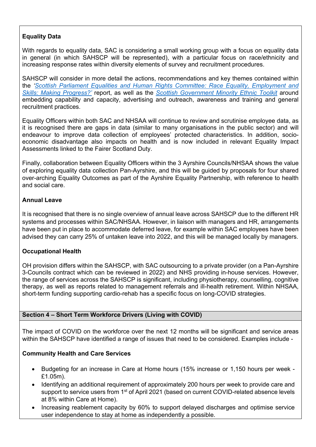# **Equality Data**

With regards to equality data, SAC is considering a small working group with a focus on equality data in general (in which SAHSCP will be represented), with a particular focus on race/ethnicity and increasing response rates within diversity elements of survey and recruitment procedures.

SAHSCP will consider in more detail the actions, recommendations and key themes contained within the *['Scottish Parliament Equalities and Human Rights Committee: Race Equality, Employment and](https://sp-bpr-en-prod-cdnep.azureedge.net/published/EHRiC/2020/11/15/Race-Equality--Employment-and-Skills--Making-Progress-/EHRiCS052020R3.pdf)  [Skills: Making Progress?'](https://sp-bpr-en-prod-cdnep.azureedge.net/published/EHRiC/2020/11/15/Race-Equality--Employment-and-Skills--Making-Progress-/EHRiCS052020R3.pdf)* report, as well as the *[Scottish Government Minority Ethnic Toolkit](https://www.gov.scot/binaries/content/documents/govscot/publications/advice-and-guidance/2020/09/minority-ethnic-recruitment-toolkit/documents/minority-ethnic-recruitment-toolkit/minority-ethnic-recruitment-toolkit/govscot%3Adocument/minority-ethnic-recruitment-toolkit.pdf)* around embedding capability and capacity, advertising and outreach, awareness and training and general recruitment practices.

Equality Officers within both SAC and NHSAA will continue to review and scrutinise employee data, as it is recognised there are gaps in data (similar to many organisations in the public sector) and will endeavour to improve data collection of employees' protected characteristics. In addition, socioeconomic disadvantage also impacts on health and is now included in relevant Equality Impact Assessments linked to the Fairer Scotland Duty.

Finally, collaboration between Equality Officers within the 3 Ayrshire Councils/NHSAA shows the value of exploring equality data collection Pan-Ayrshire, and this will be guided by proposals for four shared over-arching Equality Outcomes as part of the Ayrshire Equality Partnership, with reference to health and social care.

## **Annual Leave**

It is recognised that there is no single overview of annual leave across SAHSCP due to the different HR systems and processes within SAC/NHSAA. However, in liaison with managers and HR, arrangements have been put in place to accommodate deferred leave, for example within SAC employees have been advised they can carry 25% of untaken leave into 2022, and this will be managed locally by managers.

## **Occupational Health**

OH provision differs within the SAHSCP, with SAC outsourcing to a private provider (on a Pan-Ayrshire 3-Councils contract which can be reviewed in 2022) and NHS providing in-house services. However, the range of services across the SAHSCP is significant, including physiotherapy, counselling, cognitive therapy, as well as reports related to management referrals and ill-health retirement. Within NHSAA, short-term funding supporting cardio-rehab has a specific focus on long-COVID strategies.

### **Section 4 – Short Term Workforce Drivers (Living with COVID)**

The impact of COVID on the workforce over the next 12 months will be significant and service areas within the SAHSCP have identified a range of issues that need to be considered. Examples include -

### **Community Health and Care Services**

- Budgeting for an increase in Care at Home hours (15% increase or 1,150 hours per week £1.05m).
- Identifying an additional requirement of approximately 200 hours per week to provide care and support to service users from 1<sup>st</sup> of April 2021 (based on current COVID-related absence levels at 8% within Care at Home).
- Increasing reablement capacity by 60% to support delayed discharges and optimise service user independence to stay at home as independently a possible.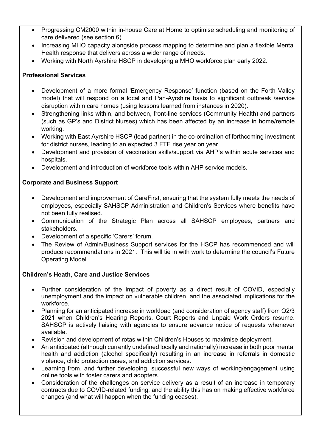- Progressing CM2000 within in-house Care at Home to optimise scheduling and monitoring of care delivered (see section 6).
- Increasing MHO capacity alongside process mapping to determine and plan a flexible Mental Health response that delivers across a wider range of needs.
- Working with North Ayrshire HSCP in developing a MHO workforce plan early 2022.

## **Professional Services**

- Development of a more formal 'Emergency Response' function (based on the Forth Valley model) that will respond on a local and Pan-Ayrshire basis to significant outbreak /service disruption within care homes (using lessons learned from instances in 2020).
- Strengthening links within, and between, front-line services (Community Health) and partners (such as GP's and District Nurses) which has been affected by an increase in home/remote working.
- Working with East Ayrshire HSCP (lead partner) in the co-ordination of forthcoming investment for district nurses, leading to an expected 3 FTE rise year on year.
- Development and provision of vaccination skills/support via AHP's within acute services and hospitals.
- Development and introduction of workforce tools within AHP service models.

# **Corporate and Business Support**

- Development and improvement of CareFirst, ensuring that the system fully meets the needs of employees, especially SAHSCP Administration and Children's Services where benefits have not been fully realised.
- Communication of the Strategic Plan across all SAHSCP employees, partners and stakeholders.
- Development of a specific 'Carers' forum.
- The Review of Admin/Business Support services for the HSCP has recommenced and will produce recommendations in 2021. This will tie in with work to determine the council's Future Operating Model.

## **Children's Heath, Care and Justice Services**

- Further consideration of the impact of poverty as a direct result of COVID, especially unemployment and the impact on vulnerable children, and the associated implications for the workforce.
- Planning for an anticipated increase in workload (and consideration of agency staff) from Q2/3 2021 when Children's Hearing Reports, Court Reports and Unpaid Work Orders resume. SAHSCP is actively liaising with agencies to ensure advance notice of requests whenever available.
- Revision and development of rotas within Children's Houses to maximise deployment.
- An anticipated (although currently undefined locally and nationally) increase in both poor mental health and addiction (alcohol specifically) resulting in an increase in referrals in domestic violence, child protection cases, and addiction services.
- Learning from, and further developing, successful new ways of working/engagement using online tools with foster carers and adopters.
- Consideration of the challenges on service delivery as a result of an increase in temporary contracts due to COVID-related funding, and the ability this has on making effective workforce changes (and what will happen when the funding ceases).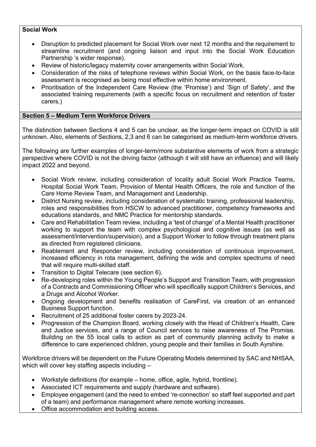### **Social Work**

- Disruption to predicted placement for Social Work over next 12 months and the requirement to streamline recruitment (and ongoing liaison and input into the Social Work Education Partnership 's wider response).
- Review of historic/legacy maternity cover arrangements within Social Work.
- Consideration of the risks of telephone reviews within Social Work, on the basis face-to-face assessment is recognised as being most effective within home environment.
- Prioritisation of the Independent Care Review (the 'Promise') and 'Sign of Safety', and the associated training requirements (with a specific focus on recruitment and retention of foster carers.)

### **Section 5 – Medium Term Workforce Drivers**

The distinction between Sections 4 and 5 can be unclear, as the longer-term impact on COVID is still unknown. Also, elements of Sections, 2,3 and 6 can be categorised as medium-term workforce drivers.

The following are further examples of longer-term/more substantive elements of work from a strategic perspective where COVID is not the driving factor (although it will still have an influence) and will likely impact 2022 and beyond.

- Social Work review, including consideration of locality adult Social Work Practice Teams, Hospital Social Work Team, Provision of Mental Health Officers, the role and function of the Care Home Review Team, and Management and Leadership.
- District Nursing review, including consideration of systematic training, professional leadership, roles and responsibilities from HSCW to advanced practitioner, competency frameworks and educations standards, and NMC Practice for mentorship standards.
- Care and Rehabilitation Team review, including a 'test of change' of a Mental Health practitioner working to support the team with complex psychological and cognitive issues (as well as assessment/intervention/supervision), and a Support Worker to follow through treatment plans as directed from registered clinicians.
- Reablement and Responder review, including consideration of continuous improvement, increased efficiency in rota management, defining the wide and complex spectrums of need that will require multi-skilled staff.
- Transition to Digital Telecare (see section 6).
- Re-developing roles within the Young People's Support and Transition Team, with progression of a Contracts and Commissioning Officer who will specifically support Children's Services, and a Drugs and Alcohol Worker.
- Ongoing development and benefits realisation of CareFirst, via creation of an enhanced Business Support function.
- Recruitment of 25 additional foster carers by 2023-24.
- Progression of the Champion Board, working closely with the Head of Children's Health, Care and Justice services, and a range of Council services to raise awareness of The Promise. Building on the 55 local calls to action as part of community planning activity to make a difference to care experienced children, young people and their families in South Ayrshire.

Workforce drivers will be dependent on the Future Operating Models determined by SAC and NHSAA, which will cover key staffing aspects including -

- Workstyle definitions (for example home, office, agile, hybrid, frontline).
- Associated ICT requirements and supply (hardware and software).
- Employee engagement (and the need to embed 're-connection' so staff feel supported and part of a team) and performance management where remote working increases.
- Office accommodation and building access.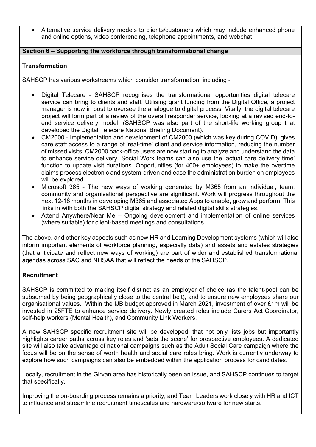• Alternative service delivery models to clients/customers which may include enhanced phone and online options, video conferencing, telephone appointments, and webchat.

## **Section 6 – Supporting the workforce through transformational change**

## **Transformation**

SAHSCP has various workstreams which consider transformation, including -

- Digital Telecare SAHSCP recognises the transformational opportunities digital telecare service can bring to clients and staff. Utilising grant funding from the Digital Office, a project manager is now in post to oversee the analogue to digital process. Vitally, the digital telecare project will form part of a review of the overall responder service, looking at a revised end-toend service delivery model. (SAHSCP was also part of the short-life working group that developed the Digital Telecare National Briefing Document).
- CM2000 Implementation and development of CM2000 (which was key during COVID), gives care staff access to a range of 'real-time' client and service information, reducing the number of missed visits. CM2000 back-office users are now starting to analyze and understand the data to enhance service delivery. Social Work teams can also use the 'actual care delivery time' function to update visit durations. Opportunities (for 400+ employees) to make the overtime claims process electronic and system-driven and ease the administration burden on employees will be explored.
- Microsoft 365 The new ways of working generated by M365 from an individual, team, community and organisational perspective are significant. Work will progress throughout the next 12-18 months in developing M365 and associated Apps to enable, grow and perform. This links in with both the SAHSCP digital strategy and related digital skills strategies.
- Attend Anywhere/Near Me Ongoing development and implementation of online services (where suitable) for client-based meetings and consultations.

The above, and other key aspects such as new HR and Learning Development systems (which will also inform important elements of workforce planning, especially data) and assets and estates strategies (that anticipate and reflect new ways of working) are part of wider and established transformational agendas across SAC and NHSAA that will reflect the needs of the SAHSCP.

## **Recruitment**

SAHSCP is committed to making itself distinct as an employer of choice (as the talent-pool can be subsumed by being geographically close to the central belt), and to ensure new employees share our organisational values. Within the IJB budget approved in March 2021, investment of over £1m will be invested in 25FTE to enhance service delivery. Newly created roles include Carers Act Coordinator, self-help workers (Mental Health), and Community Link Workers.

A new SAHSCP specific recruitment site will be developed, that not only lists jobs but importantly highlights career paths across key roles and 'sets the scene' for prospective employees. A dedicated site will also take advantage of national campaigns such as the Adult Social Care campaign where the focus will be on the sense of worth health and social care roles bring. Work is currently underway to explore how such campaigns can also be embedded within the application process for candidates.

Locally, recruitment in the Girvan area has historically been an issue, and SAHSCP continues to target that specifically.

Improving the on-boarding process remains a priority, and Team Leaders work closely with HR and ICT to influence and streamline recruitment timescales and hardware/software for new starts.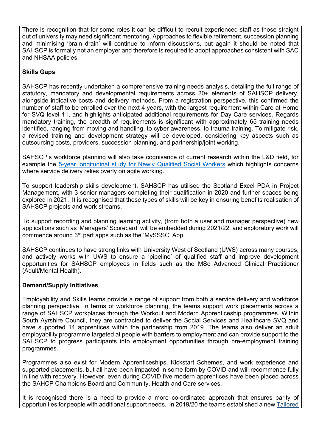There is recognition that for some roles it can be difficult to recruit experienced staff as those straight out of university may need significant mentoring. Approaches to flexible retirement, succession planning and minimising 'brain drain' will continue to inform discussions, but again it should be noted that SAHSCP is formally not an employer and therefore is required to adopt approaches consistent with SAC and NHSAA policies.

## **Skills Gaps**

SAHSCP has recently undertaken a comprehensive training needs analysis, detailing the full range of statutory, mandatory and developmental requirements across 20+ elements of SAHSCP delivery, alongside indicative costs and delivery methods. From a registration perspective, this confirmed the number of staff to be enrolled over the next 4 years, with the largest requirement within Care at Home for SVQ level 11, and highlights anticipated additional requirements for Day Care services. Regards mandatory training, the breadth of requirements is significant with approximately 65 training needs identified, ranging from moving and handling, to cyber awareness, to trauma training. To mitigate risk, a revised training and development strategy will be developed, considering key aspects such as outsourcing costs, providers, succession planning, and partnership/joint working.

SAHSCP's workforce planning will also take cognisance of current research within the L&D field, for example the 5-year longitudinal study for [Newly Qualified Social Workers](https://www.gov.uk/government/publications/longitudinal-study-of-local-authority-social-workers) which highlights concerns where service delivery relies overly on agile working.

To support leadership skills development, SAHSCP has utilised the Scotland Excel PDA in Project Management, with 3 senior managers completing their qualification in 2020 and further spaces being explored in 2021. It is recognised that these types of skills will be key in ensuring benefits realisation of SAHSCP projects and work streams.

To support recording and planning learning activity, (from both a user and manager perspective) new applications such as 'Managers' Scorecard' will be embedded during 2021/22, and exploratory work will commence around 3rd part apps such as the 'MySSSC' App.

SAHSCP continues to have strong links with University West of Scotland (UWS) across many courses, and actively works with UWS to ensure a 'pipeline' of qualified staff and improve development opportunities for SAHSCP employees in fields such as the MSc Advanced Clinical Practitioner (Adult/Mental Health).

### **Demand/Supply Initiatives**

Employability and Skills teams provide a range of support from both a service delivery and workforce planning perspective. In terms of workforce planning, the teams support work placements across a range of SAHSCP workplaces through the Workout and Modern Apprenticeship programmes. Within South Ayrshire Council, they are contracted to deliver the Social Services and Healthcare SVQ and have supported 14 apprentices within the partnership from 2019. The teams also deliver an adult employability programme targeted at people with barriers to employment and can provide support to the SAHSCP to progress participants into employment opportunities through pre-employment training programmes.

Programmes also exist for Modern Apprenticeships, Kickstart Schemes, and work experience and supported placements, but all have been impacted in some form by COVID and will recommence fully in line with recovery. However, even during COVID five modern apprentices have been placed across the SAHCP Champions Board and Community, Health and Care services.

It is recognised there is a need to provide a more co-ordinated approach that ensures parity of opportunities for people with additional support needs. In 2019/20 the teams established a new [Tailored](https://www.south-ayrshire.gov.uk/employability/supported-employment.aspx)